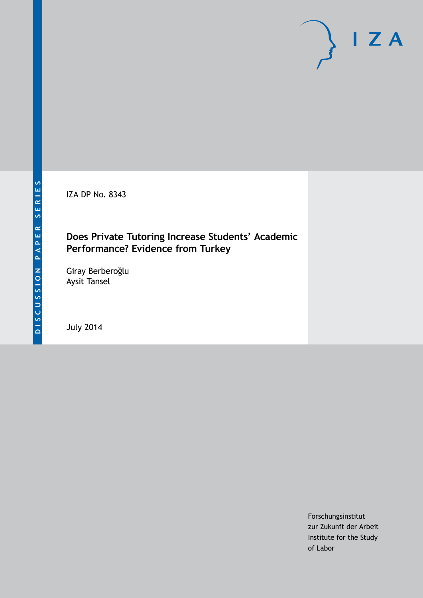IZA DP No. 8343

## **Does Private Tutoring Increase Students' Academic Performance? Evidence from Turkey**

Giray Berberoğlu Aysit Tansel

July 2014

Forschungsinstitut zur Zukunft der Arbeit Institute for the Study of Labor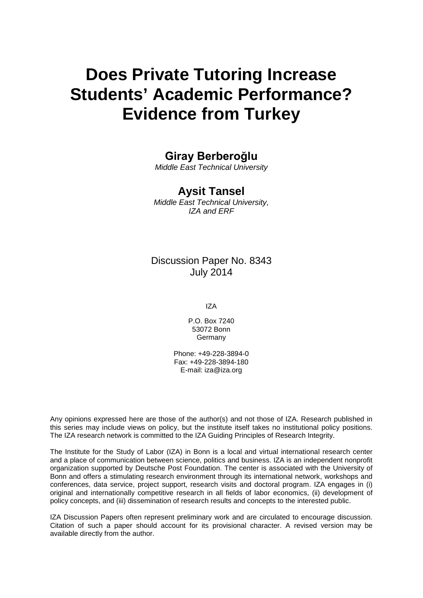# **Does Private Tutoring Increase Students' Academic Performance? Evidence from Turkey**

### **Giray Berberoğlu**

*Middle East Technical University*

### **Aysit Tansel**

*Middle East Technical University, IZA and ERF*

### Discussion Paper No. 8343 July 2014

IZA

P.O. Box 7240 53072 Bonn **Germany** 

Phone: +49-228-3894-0 Fax: +49-228-3894-180 E-mail: [iza@iza.org](mailto:iza@iza.org)

Any opinions expressed here are those of the author(s) and not those of IZA. Research published in this series may include views on policy, but the institute itself takes no institutional policy positions. The IZA research network is committed to the IZA Guiding Principles of Research Integrity.

The Institute for the Study of Labor (IZA) in Bonn is a local and virtual international research center and a place of communication between science, politics and business. IZA is an independent nonprofit organization supported by Deutsche Post Foundation. The center is associated with the University of Bonn and offers a stimulating research environment through its international network, workshops and conferences, data service, project support, research visits and doctoral program. IZA engages in (i) original and internationally competitive research in all fields of labor economics, (ii) development of policy concepts, and (iii) dissemination of research results and concepts to the interested public.

IZA Discussion Papers often represent preliminary work and are circulated to encourage discussion. Citation of such a paper should account for its provisional character. A revised version may be available directly from the author.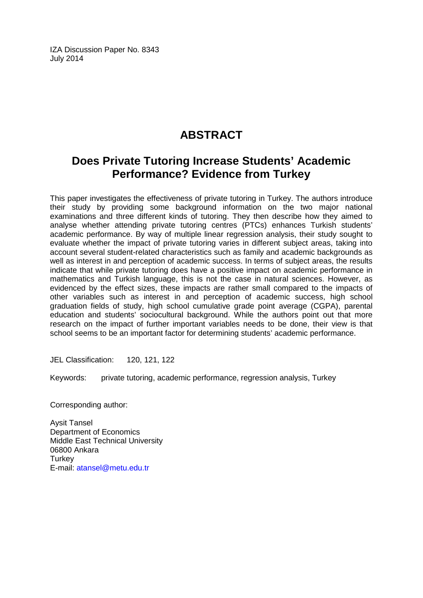IZA Discussion Paper No. 8343 July 2014

# **ABSTRACT**

# **Does Private Tutoring Increase Students' Academic Performance? Evidence from Turkey**

This paper investigates the effectiveness of private tutoring in Turkey. The authors introduce their study by providing some background information on the two major national examinations and three different kinds of tutoring. They then describe how they aimed to analyse whether attending private tutoring centres (PTCs) enhances Turkish students' academic performance. By way of multiple linear regression analysis, their study sought to evaluate whether the impact of private tutoring varies in different subject areas, taking into account several student-related characteristics such as family and academic backgrounds as well as interest in and perception of academic success. In terms of subject areas, the results indicate that while private tutoring does have a positive impact on academic performance in mathematics and Turkish language, this is not the case in natural sciences. However, as evidenced by the effect sizes, these impacts are rather small compared to the impacts of other variables such as interest in and perception of academic success, high school graduation fields of study, high school cumulative grade point average (CGPA), parental education and students' sociocultural background. While the authors point out that more research on the impact of further important variables needs to be done, their view is that school seems to be an important factor for determining students' academic performance.

JEL Classification: 120, 121, 122

Keywords: private tutoring, academic performance, regression analysis, Turkey

Corresponding author:

Aysit Tansel Department of Economics Middle East Technical University 06800 Ankara **Turkey** E-mail: [atansel@metu.edu.tr](mailto:atansel@metu.edu.tr)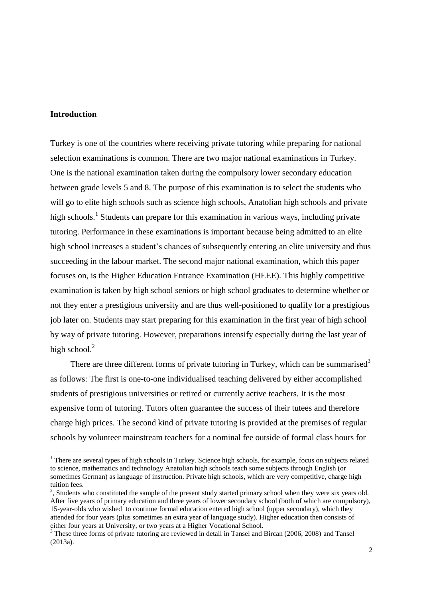#### **Introduction**

1

Turkey is one of the countries where receiving private tutoring while preparing for national selection examinations is common. There are two major national examinations in Turkey. One is the national examination taken during the compulsory lower secondary education between grade levels 5 and 8. The purpose of this examination is to select the students who will go to elite high schools such as science high schools, Anatolian high schools and private high schools.<sup>1</sup> Students can prepare for this examination in various ways, including private tutoring. Performance in these examinations is important because being admitted to an elite high school increases a student's chances of subsequently entering an elite university and thus succeeding in the labour market. The second major national examination, which this paper focuses on, is the Higher Education Entrance Examination (HEEE). This highly competitive examination is taken by high school seniors or high school graduates to determine whether or not they enter a prestigious university and are thus well-positioned to qualify for a prestigious job later on. Students may start preparing for this examination in the first year of high school by way of private tutoring. However, preparations intensify especially during the last year of high school.<sup>2</sup>

There are three different forms of private tutoring in Turkey, which can be summarised<sup>3</sup> as follows: The first is one-to-one individualised teaching delivered by either accomplished students of prestigious universities or retired or currently active teachers. It is the most expensive form of tutoring. Tutors often guarantee the success of their tutees and therefore charge high prices. The second kind of private tutoring is provided at the premises of regular schools by volunteer mainstream teachers for a nominal fee outside of formal class hours for

<sup>&</sup>lt;sup>1</sup> There are several types of high schools in Turkey. Science high schools, for example, focus on subjects related to science, mathematics and technology Anatolian high schools teach some subjects through English (or sometimes German) as language of instruction. Private high schools, which are very competitive, charge high tuition fees.

 $2^2$ , Students who constituted the sample of the present study started primary school when they were six years old. After five years of primary education and three years of lower secondary school (both of which are compulsory), 15-year-olds who wished to continue formal education entered high school (upper secondary), which they attended for four years (plus sometimes an extra year of language study). Higher education then consists of either four years at University, or two years at a Higher Vocational School.

<sup>&</sup>lt;sup>3</sup> These three forms of private tutoring are reviewed in detail in Tansel and Bircan (2006, 2008) and Tansel (2013a).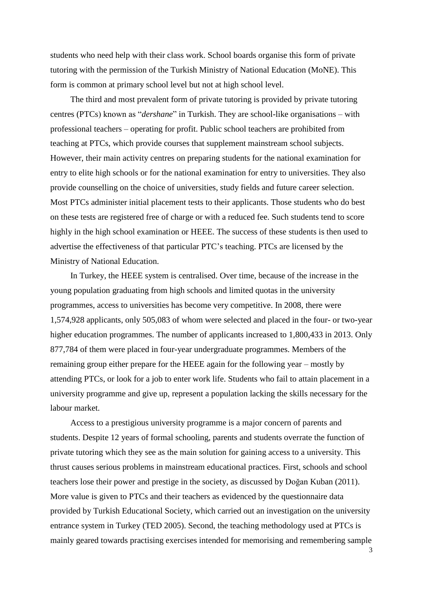students who need help with their class work. School boards organise this form of private tutoring with the permission of the Turkish Ministry of National Education (MoNE). This form is common at primary school level but not at high school level.

The third and most prevalent form of private tutoring is provided by private tutoring centres (PTCs) known as "*dershane*" in Turkish. They are school-like organisations – with professional teachers – operating for profit. Public school teachers are prohibited from teaching at PTCs, which provide courses that supplement mainstream school subjects. However, their main activity centres on preparing students for the national examination for entry to elite high schools or for the national examination for entry to universities. They also provide counselling on the choice of universities, study fields and future career selection. Most PTCs administer initial placement tests to their applicants. Those students who do best on these tests are registered free of charge or with a reduced fee. Such students tend to score highly in the high school examination or HEEE. The success of these students is then used to advertise the effectiveness of that particular PTC's teaching. PTCs are licensed by the Ministry of National Education.

In Turkey, the HEEE system is centralised. Over time, because of the increase in the young population graduating from high schools and limited quotas in the university programmes, access to universities has become very competitive. In 2008, there were 1,574,928 applicants, only 505,083 of whom were selected and placed in the four- or two-year higher education programmes. The number of applicants increased to 1,800,433 in 2013. Only 877,784 of them were placed in four-year undergraduate programmes. Members of the remaining group either prepare for the HEEE again for the following year – mostly by attending PTCs, or look for a job to enter work life. Students who fail to attain placement in a university programme and give up, represent a population lacking the skills necessary for the labour market.

Access to a prestigious university programme is a major concern of parents and students. Despite 12 years of formal schooling, parents and students overrate the function of private tutoring which they see as the main solution for gaining access to a university. This thrust causes serious problems in mainstream educational practices. First, schools and school teachers lose their power and prestige in the society, as discussed by Doğan Kuban (2011). More value is given to PTCs and their teachers as evidenced by the questionnaire data provided by Turkish Educational Society, which carried out an investigation on the university entrance system in Turkey (TED 2005). Second, the teaching methodology used at PTCs is mainly geared towards practising exercises intended for memorising and remembering sample

3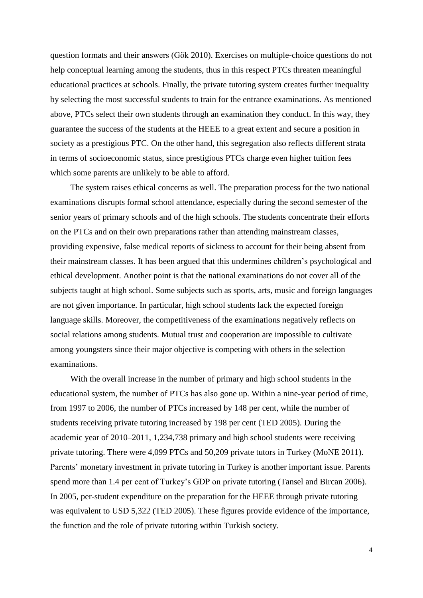question formats and their answers (Gök 2010). Exercises on multiple-choice questions do not help conceptual learning among the students, thus in this respect PTCs threaten meaningful educational practices at schools. Finally, the private tutoring system creates further inequality by selecting the most successful students to train for the entrance examinations. As mentioned above, PTCs select their own students through an examination they conduct. In this way, they guarantee the success of the students at the HEEE to a great extent and secure a position in society as a prestigious PTC. On the other hand, this segregation also reflects different strata in terms of socioeconomic status, since prestigious PTCs charge even higher tuition fees which some parents are unlikely to be able to afford.

The system raises ethical concerns as well. The preparation process for the two national examinations disrupts formal school attendance, especially during the second semester of the senior years of primary schools and of the high schools. The students concentrate their efforts on the PTCs and on their own preparations rather than attending mainstream classes, providing expensive, false medical reports of sickness to account for their being absent from their mainstream classes. It has been argued that this undermines children's psychological and ethical development. Another point is that the national examinations do not cover all of the subjects taught at high school. Some subjects such as sports, arts, music and foreign languages are not given importance. In particular, high school students lack the expected foreign language skills. Moreover, the competitiveness of the examinations negatively reflects on social relations among students. Mutual trust and cooperation are impossible to cultivate among youngsters since their major objective is competing with others in the selection examinations.

With the overall increase in the number of primary and high school students in the educational system, the number of PTCs has also gone up. Within a nine-year period of time, from 1997 to 2006, the number of PTCs increased by 148 per cent, while the number of students receiving private tutoring increased by 198 per cent (TED 2005). During the academic year of 2010–2011, 1,234,738 primary and high school students were receiving private tutoring. There were 4,099 PTCs and 50,209 private tutors in Turkey (MoNE 2011). Parents' monetary investment in private tutoring in Turkey is another important issue. Parents spend more than 1.4 per cent of Turkey's GDP on private tutoring (Tansel and Bircan 2006). In 2005, per-student expenditure on the preparation for the HEEE through private tutoring was equivalent to USD 5,322 (TED 2005). These figures provide evidence of the importance, the function and the role of private tutoring within Turkish society.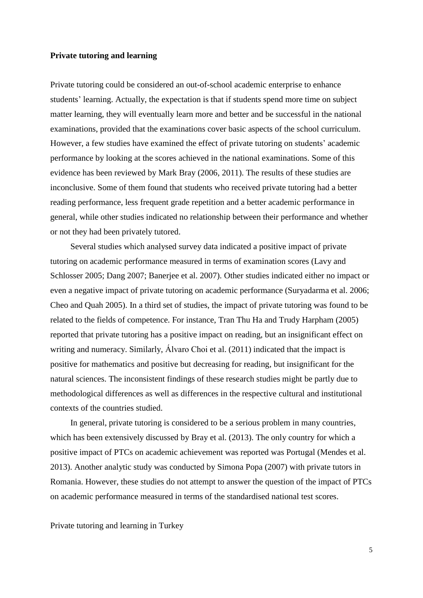#### **Private tutoring and learning**

Private tutoring could be considered an out-of-school academic enterprise to enhance students' learning. Actually, the expectation is that if students spend more time on subject matter learning, they will eventually learn more and better and be successful in the national examinations, provided that the examinations cover basic aspects of the school curriculum. However, a few studies have examined the effect of private tutoring on students' academic performance by looking at the scores achieved in the national examinations. Some of this evidence has been reviewed by Mark Bray (2006, 2011). The results of these studies are inconclusive. Some of them found that students who received private tutoring had a better reading performance, less frequent grade repetition and a better academic performance in general, while other studies indicated no relationship between their performance and whether or not they had been privately tutored.

Several studies which analysed survey data indicated a positive impact of private tutoring on academic performance measured in terms of examination scores (Lavy and Schlosser 2005; Dang 2007; Banerjee et al. 2007). Other studies indicated either no impact or even a negative impact of private tutoring on academic performance (Suryadarma et al. 2006; Cheo and Quah 2005). In a third set of studies, the impact of private tutoring was found to be related to the fields of competence. For instance, Tran Thu Ha and Trudy Harpham (2005) reported that private tutoring has a positive impact on reading, but an insignificant effect on writing and numeracy. Similarly, Álvaro Choi et al. (2011) indicated that the impact is positive for mathematics and positive but decreasing for reading, but insignificant for the natural sciences. The inconsistent findings of these research studies might be partly due to methodological differences as well as differences in the respective cultural and institutional contexts of the countries studied.

In general, private tutoring is considered to be a serious problem in many countries, which has been extensively discussed by Bray et al. (2013). The only country for which a positive impact of PTCs on academic achievement was reported was Portugal (Mendes et al. 2013). Another analytic study was conducted by Simona Popa (2007) with private tutors in Romania. However, these studies do not attempt to answer the question of the impact of PTCs on academic performance measured in terms of the standardised national test scores.

Private tutoring and learning in Turkey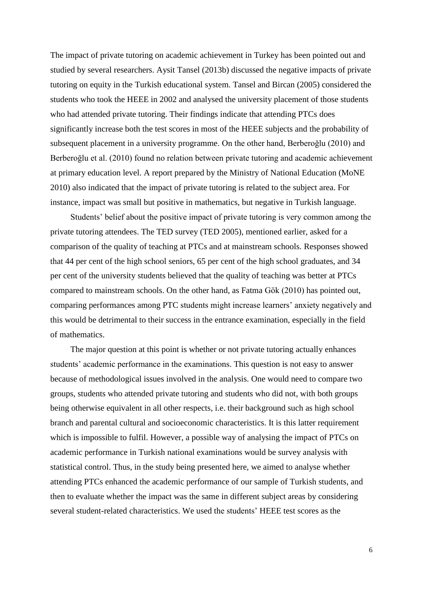The impact of private tutoring on academic achievement in Turkey has been pointed out and studied by several researchers. Aysit Tansel (2013b) discussed the negative impacts of private tutoring on equity in the Turkish educational system. Tansel and Bircan (2005) considered the students who took the HEEE in 2002 and analysed the university placement of those students who had attended private tutoring. Their findings indicate that attending PTCs does significantly increase both the test scores in most of the HEEE subjects and the probability of subsequent placement in a university programme. On the other hand, Berberoğlu (2010) and Berberoğlu et al. (2010) found no relation between private tutoring and academic achievement at primary education level. A report prepared by the Ministry of National Education (MoNE 2010) also indicated that the impact of private tutoring is related to the subject area. For instance, impact was small but positive in mathematics, but negative in Turkish language.

Students' belief about the positive impact of private tutoring is very common among the private tutoring attendees. The TED survey (TED 2005), mentioned earlier, asked for a comparison of the quality of teaching at PTCs and at mainstream schools. Responses showed that 44 per cent of the high school seniors, 65 per cent of the high school graduates, and 34 per cent of the university students believed that the quality of teaching was better at PTCs compared to mainstream schools. On the other hand, as Fatma Gök (2010) has pointed out, comparing performances among PTC students might increase learners' anxiety negatively and this would be detrimental to their success in the entrance examination, especially in the field of mathematics.

The major question at this point is whether or not private tutoring actually enhances students' academic performance in the examinations. This question is not easy to answer because of methodological issues involved in the analysis. One would need to compare two groups, students who attended private tutoring and students who did not, with both groups being otherwise equivalent in all other respects, i.e. their background such as high school branch and parental cultural and socioeconomic characteristics. It is this latter requirement which is impossible to fulfil. However, a possible way of analysing the impact of PTCs on academic performance in Turkish national examinations would be survey analysis with statistical control. Thus, in the study being presented here, we aimed to analyse whether attending PTCs enhanced the academic performance of our sample of Turkish students, and then to evaluate whether the impact was the same in different subject areas by considering several student-related characteristics. We used the students' HEEE test scores as the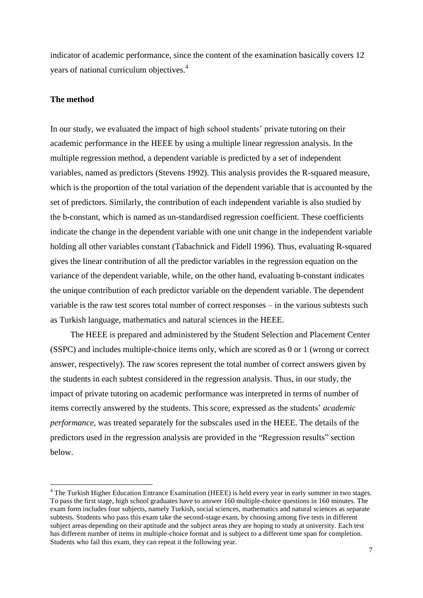indicator of academic performance, since the content of the examination basically covers 12 years of national curriculum objectives.<sup>4</sup>

#### **The method**

<u>.</u>

In our study, we evaluated the impact of high school students' private tutoring on their academic performance in the HEEE by using a multiple linear regression analysis. In the multiple regression method, a dependent variable is predicted by a set of independent variables, named as predictors (Stevens 1992). This analysis provides the R-squared measure, which is the proportion of the total variation of the dependent variable that is accounted by the set of predictors. Similarly, the contribution of each independent variable is also studied by the b-constant, which is named as un-standardised regression coefficient. These coefficients indicate the change in the dependent variable with one unit change in the independent variable holding all other variables constant (Tabachnick and Fidell 1996). Thus, evaluating R-squared gives the linear contribution of all the predictor variables in the regression equation on the variance of the dependent variable, while, on the other hand, evaluating b-constant indicates the unique contribution of each predictor variable on the dependent variable. The dependent variable is the raw test scores total number of correct responses – in the various subtests such as Turkish language, mathematics and natural sciences in the HEEE.

The HEEE is prepared and administered by the Student Selection and Placement Center (SSPC) and includes multiple-choice items only, which are scored as 0 or 1 (wrong or correct answer, respectively). The raw scores represent the total number of correct answers given by the students in each subtest considered in the regression analysis. Thus, in our study, the impact of private tutoring on academic performance was interpreted in terms of number of items correctly answered by the students. This score, expressed as the students' *academic performance,* was treated separately for the subscales used in the HEEE. The details of the predictors used in the regression analysis are provided in the "Regression results" section below.

<sup>&</sup>lt;sup>4</sup> The Turkish Higher Education Entrance Examination (HEEE) is held every year in early summer in two stages. To pass the first stage, high school graduates have to answer 160 multiple-choice questions in 160 minutes. The exam form includes four subjects, namely Turkish, social sciences, mathematics and natural sciences as separate subtests. Students who pass this exam take the second-stage exam, by choosing among five tests in different subject areas depending on their aptitude and the subject areas they are hoping to study at university. Each test has different number of items in multiple-choice format and is subject to a different time span for completion. Students who fail this exam, they can repeat it the following year.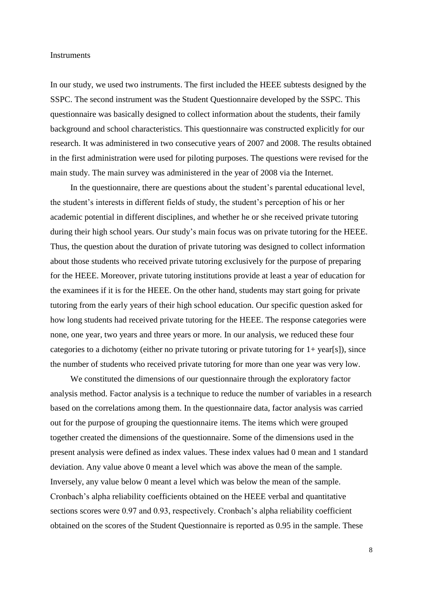#### Instruments

In our study, we used two instruments. The first included the HEEE subtests designed by the SSPC. The second instrument was the Student Questionnaire developed by the SSPC. This questionnaire was basically designed to collect information about the students, their family background and school characteristics. This questionnaire was constructed explicitly for our research. It was administered in two consecutive years of 2007 and 2008. The results obtained in the first administration were used for piloting purposes. The questions were revised for the main study. The main survey was administered in the year of 2008 via the Internet.

In the questionnaire, there are questions about the student's parental educational level, the student's interests in different fields of study, the student's perception of his or her academic potential in different disciplines, and whether he or she received private tutoring during their high school years. Our study's main focus was on private tutoring for the HEEE. Thus, the question about the duration of private tutoring was designed to collect information about those students who received private tutoring exclusively for the purpose of preparing for the HEEE. Moreover, private tutoring institutions provide at least a year of education for the examinees if it is for the HEEE. On the other hand, students may start going for private tutoring from the early years of their high school education. Our specific question asked for how long students had received private tutoring for the HEEE. The response categories were none, one year, two years and three years or more. In our analysis, we reduced these four categories to a dichotomy (either no private tutoring or private tutoring for  $1+$  year[s]), since the number of students who received private tutoring for more than one year was very low.

We constituted the dimensions of our questionnaire through the exploratory factor analysis method. Factor analysis is a technique to reduce the number of variables in a research based on the correlations among them. In the questionnaire data, factor analysis was carried out for the purpose of grouping the questionnaire items. The items which were grouped together created the dimensions of the questionnaire. Some of the dimensions used in the present analysis were defined as index values. These index values had 0 mean and 1 standard deviation. Any value above 0 meant a level which was above the mean of the sample. Inversely, any value below 0 meant a level which was below the mean of the sample. Cronbach's alpha reliability coefficients obtained on the HEEE verbal and quantitative sections scores were 0.97 and 0.93, respectively. Cronbach's alpha reliability coefficient obtained on the scores of the Student Questionnaire is reported as 0.95 in the sample. These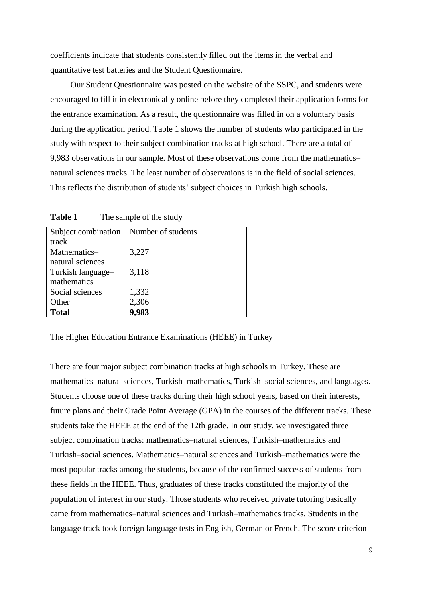coefficients indicate that students consistently filled out the items in the verbal and quantitative test batteries and the Student Questionnaire.

Our Student Questionnaire was posted on the website of the SSPC, and students were encouraged to fill it in electronically online before they completed their application forms for the entrance examination. As a result, the questionnaire was filled in on a voluntary basis during the application period. Table 1 shows the number of students who participated in the study with respect to their subject combination tracks at high school. There are a total of 9,983 observations in our sample. Most of these observations come from the mathematics– natural sciences tracks. The least number of observations is in the field of social sciences. This reflects the distribution of students' subject choices in Turkish high schools.

| Subject combination | Number of students |
|---------------------|--------------------|
| track               |                    |
| Mathematics-        | 3,227              |
| natural sciences    |                    |
| Turkish language-   | 3,118              |
| mathematics         |                    |
| Social sciences     | 1,332              |
| Other               | 2,306              |
| <b>Total</b>        |                    |

**Table 1** The sample of the study

The Higher Education Entrance Examinations (HEEE) in Turkey

There are four major subject combination tracks at high schools in Turkey. These are mathematics–natural sciences, Turkish–mathematics, Turkish–social sciences, and languages. Students choose one of these tracks during their high school years, based on their interests, future plans and their Grade Point Average (GPA) in the courses of the different tracks. These students take the HEEE at the end of the 12th grade. In our study, we investigated three subject combination tracks: mathematics–natural sciences, Turkish–mathematics and Turkish–social sciences. Mathematics–natural sciences and Turkish–mathematics were the most popular tracks among the students, because of the confirmed success of students from these fields in the HEEE. Thus, graduates of these tracks constituted the majority of the population of interest in our study. Those students who received private tutoring basically came from mathematics–natural sciences and Turkish–mathematics tracks. Students in the language track took foreign language tests in English, German or French. The score criterion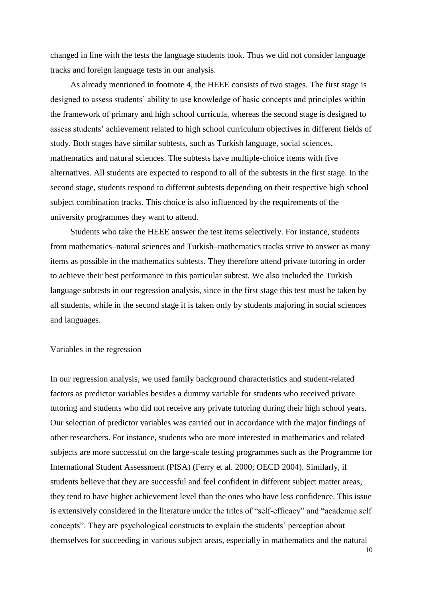changed in line with the tests the language students took. Thus we did not consider language tracks and foreign language tests in our analysis.

As already mentioned in footnote 4, the HEEE consists of two stages. The first stage is designed to assess students' ability to use knowledge of basic concepts and principles within the framework of primary and high school curricula, whereas the second stage is designed to assess students' achievement related to high school curriculum objectives in different fields of study. Both stages have similar subtests, such as Turkish language, social sciences, mathematics and natural sciences. The subtests have multiple-choice items with five alternatives. All students are expected to respond to all of the subtests in the first stage. In the second stage, students respond to different subtests depending on their respective high school subject combination tracks. This choice is also influenced by the requirements of the university programmes they want to attend.

Students who take the HEEE answer the test items selectively. For instance, students from mathematics–natural sciences and Turkish–mathematics tracks strive to answer as many items as possible in the mathematics subtests. They therefore attend private tutoring in order to achieve their best performance in this particular subtest. We also included the Turkish language subtests in our regression analysis, since in the first stage this test must be taken by all students, while in the second stage it is taken only by students majoring in social sciences and languages.

#### Variables in the regression

In our regression analysis, we used family background characteristics and student-related factors as predictor variables besides a dummy variable for students who received private tutoring and students who did not receive any private tutoring during their high school years. Our selection of predictor variables was carried out in accordance with the major findings of other researchers. For instance, students who are more interested in mathematics and related subjects are more successful on the large-scale testing programmes such as the Programme for International Student Assessment (PISA) (Ferry et al. 2000; OECD 2004). Similarly, if students believe that they are successful and feel confident in different subject matter areas, they tend to have higher achievement level than the ones who have less confidence. This issue is extensively considered in the literature under the titles of "self-efficacy" and "academic self concepts". They are psychological constructs to explain the students' perception about themselves for succeeding in various subject areas, especially in mathematics and the natural

10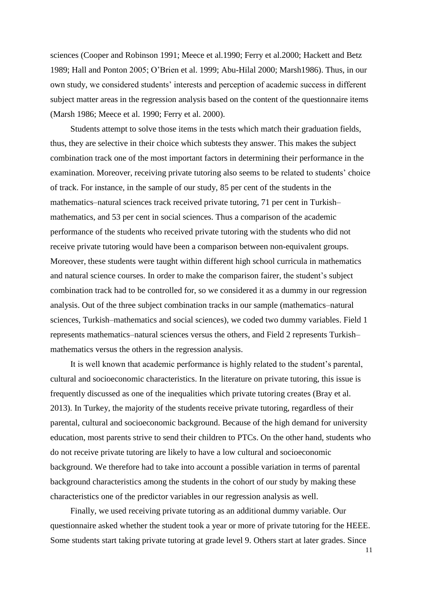sciences (Cooper and Robinson 1991; Meece et al.1990; Ferry et al.2000; Hackett and Betz 1989; Hall and Ponton 2005; O'Brien et al. 1999; Abu-Hilal 2000; Marsh1986). Thus, in our own study, we considered students' interests and perception of academic success in different subject matter areas in the regression analysis based on the content of the questionnaire items (Marsh 1986; Meece et al. 1990; Ferry et al. 2000).

Students attempt to solve those items in the tests which match their graduation fields, thus, they are selective in their choice which subtests they answer. This makes the subject combination track one of the most important factors in determining their performance in the examination. Moreover, receiving private tutoring also seems to be related to students' choice of track. For instance, in the sample of our study, 85 per cent of the students in the mathematics–natural sciences track received private tutoring, 71 per cent in Turkish– mathematics, and 53 per cent in social sciences. Thus a comparison of the academic performance of the students who received private tutoring with the students who did not receive private tutoring would have been a comparison between non-equivalent groups. Moreover, these students were taught within different high school curricula in mathematics and natural science courses. In order to make the comparison fairer, the student's subject combination track had to be controlled for, so we considered it as a dummy in our regression analysis. Out of the three subject combination tracks in our sample (mathematics–natural sciences, Turkish–mathematics and social sciences), we coded two dummy variables. Field 1 represents mathematics–natural sciences versus the others, and Field 2 represents Turkish– mathematics versus the others in the regression analysis.

It is well known that academic performance is highly related to the student's parental, cultural and socioeconomic characteristics. In the literature on private tutoring, this issue is frequently discussed as one of the inequalities which private tutoring creates (Bray et al. 2013). In Turkey, the majority of the students receive private tutoring, regardless of their parental, cultural and socioeconomic background. Because of the high demand for university education, most parents strive to send their children to PTCs. On the other hand, students who do not receive private tutoring are likely to have a low cultural and socioeconomic background. We therefore had to take into account a possible variation in terms of parental background characteristics among the students in the cohort of our study by making these characteristics one of the predictor variables in our regression analysis as well.

Finally, we used receiving private tutoring as an additional dummy variable. Our questionnaire asked whether the student took a year or more of private tutoring for the HEEE. Some students start taking private tutoring at grade level 9. Others start at later grades. Since

11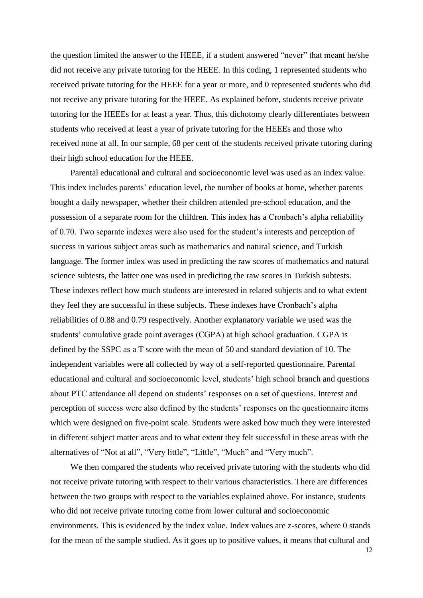the question limited the answer to the HEEE, if a student answered "never" that meant he/she did not receive any private tutoring for the HEEE. In this coding, 1 represented students who received private tutoring for the HEEE for a year or more, and 0 represented students who did not receive any private tutoring for the HEEE. As explained before, students receive private tutoring for the HEEEs for at least a year. Thus, this dichotomy clearly differentiates between students who received at least a year of private tutoring for the HEEEs and those who received none at all. In our sample, 68 per cent of the students received private tutoring during their high school education for the HEEE.

Parental educational and cultural and socioeconomic level was used as an index value. This index includes parents' education level, the number of books at home, whether parents bought a daily newspaper, whether their children attended pre-school education, and the possession of a separate room for the children. This index has a Cronbach's alpha reliability of 0.70. Two separate indexes were also used for the student's interests and perception of success in various subject areas such as mathematics and natural science, and Turkish language. The former index was used in predicting the raw scores of mathematics and natural science subtests, the latter one was used in predicting the raw scores in Turkish subtests. These indexes reflect how much students are interested in related subjects and to what extent they feel they are successful in these subjects. These indexes have Cronbach's alpha reliabilities of 0.88 and 0.79 respectively. Another explanatory variable we used was the students' cumulative grade point averages (CGPA) at high school graduation. CGPA is defined by the SSPC as a T score with the mean of 50 and standard deviation of 10. The independent variables were all collected by way of a self-reported questionnaire. Parental educational and cultural and socioeconomic level, students' high school branch and questions about PTC attendance all depend on students' responses on a set of questions. Interest and perception of success were also defined by the students' responses on the questionnaire items which were designed on five-point scale. Students were asked how much they were interested in different subject matter areas and to what extent they felt successful in these areas with the alternatives of "Not at all", "Very little", "Little", "Much" and "Very much".

We then compared the students who received private tutoring with the students who did not receive private tutoring with respect to their various characteristics. There are differences between the two groups with respect to the variables explained above. For instance, students who did not receive private tutoring come from lower cultural and socioeconomic environments. This is evidenced by the index value. Index values are z-scores, where 0 stands for the mean of the sample studied. As it goes up to positive values, it means that cultural and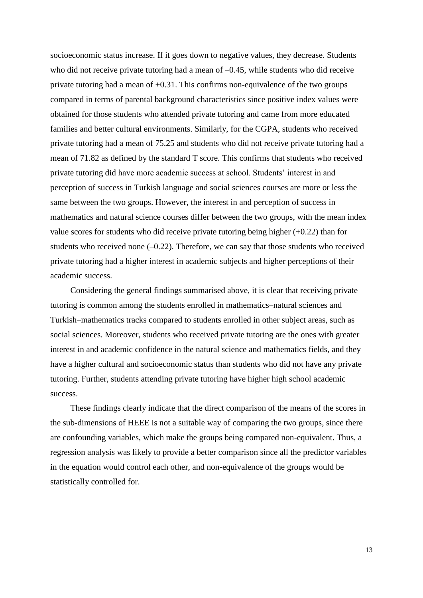socioeconomic status increase. If it goes down to negative values, they decrease. Students who did not receive private tutoring had a mean of  $-0.45$ , while students who did receive private tutoring had a mean of +0.31. This confirms non-equivalence of the two groups compared in terms of parental background characteristics since positive index values were obtained for those students who attended private tutoring and came from more educated families and better cultural environments. Similarly, for the CGPA, students who received private tutoring had a mean of 75.25 and students who did not receive private tutoring had a mean of 71.82 as defined by the standard T score. This confirms that students who received private tutoring did have more academic success at school. Students' interest in and perception of success in Turkish language and social sciences courses are more or less the same between the two groups. However, the interest in and perception of success in mathematics and natural science courses differ between the two groups, with the mean index value scores for students who did receive private tutoring being higher (+0.22) than for students who received none  $(-0.22)$ . Therefore, we can say that those students who received private tutoring had a higher interest in academic subjects and higher perceptions of their academic success.

Considering the general findings summarised above, it is clear that receiving private tutoring is common among the students enrolled in mathematics–natural sciences and Turkish–mathematics tracks compared to students enrolled in other subject areas, such as social sciences. Moreover, students who received private tutoring are the ones with greater interest in and academic confidence in the natural science and mathematics fields, and they have a higher cultural and socioeconomic status than students who did not have any private tutoring. Further, students attending private tutoring have higher high school academic success.

These findings clearly indicate that the direct comparison of the means of the scores in the sub-dimensions of HEEE is not a suitable way of comparing the two groups, since there are confounding variables, which make the groups being compared non-equivalent. Thus, a regression analysis was likely to provide a better comparison since all the predictor variables in the equation would control each other, and non-equivalence of the groups would be statistically controlled for.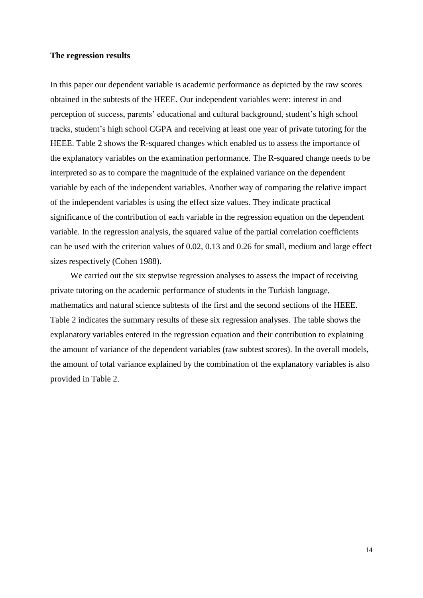#### **The regression results**

In this paper our dependent variable is academic performance as depicted by the raw scores obtained in the subtests of the HEEE. Our independent variables were: interest in and perception of success, parents' educational and cultural background, student's high school tracks, student's high school CGPA and receiving at least one year of private tutoring for the HEEE. Table 2 shows the R-squared changes which enabled us to assess the importance of the explanatory variables on the examination performance. The R-squared change needs to be interpreted so as to compare the magnitude of the explained variance on the dependent variable by each of the independent variables. Another way of comparing the relative impact of the independent variables is using the effect size values. They indicate practical significance of the contribution of each variable in the regression equation on the dependent variable. In the regression analysis, the squared value of the partial correlation coefficients can be used with the criterion values of 0.02, 0.13 and 0.26 for small, medium and large effect sizes respectively (Cohen 1988).

We carried out the six stepwise regression analyses to assess the impact of receiving private tutoring on the academic performance of students in the Turkish language, mathematics and natural science subtests of the first and the second sections of the HEEE. Table 2 indicates the summary results of these six regression analyses. The table shows the explanatory variables entered in the regression equation and their contribution to explaining the amount of variance of the dependent variables (raw subtest scores). In the overall models, the amount of total variance explained by the combination of the explanatory variables is also provided in Table 2.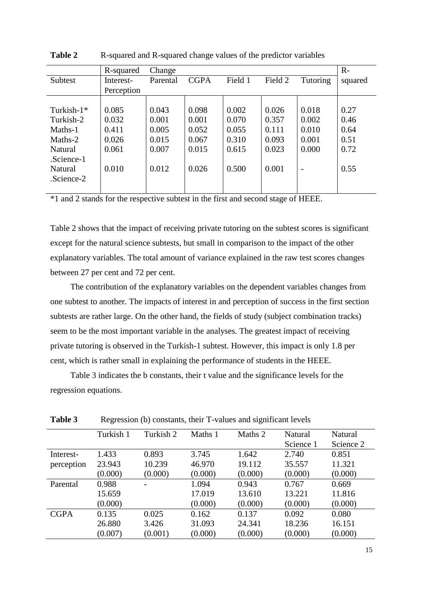|            | R-squared  | Change   |             |         |         |                          | $R-$    |
|------------|------------|----------|-------------|---------|---------|--------------------------|---------|
| Subtest    | Interest-  | Parental | <b>CGPA</b> | Field 1 | Field 2 | Tutoring                 | squared |
|            | Perception |          |             |         |         |                          |         |
|            |            |          |             |         |         |                          |         |
| Turkish-1* | 0.085      | 0.043    | 0.098       | 0.002   | 0.026   | 0.018                    | 0.27    |
| Turkish-2  | 0.032      | 0.001    | 0.001       | 0.070   | 0.357   | 0.002                    | 0.46    |
| Maths-1    | 0.411      | 0.005    | 0.052       | 0.055   | 0.111   | 0.010                    | 0.64    |
| Maths-2    | 0.026      | 0.015    | 0.067       | 0.310   | 0.093   | 0.001                    | 0.51    |
| Natural    | 0.061      | 0.007    | 0.015       | 0.615   | 0.023   | 0.000                    | 0.72    |
| Science-1  |            |          |             |         |         |                          |         |
| Natural    | 0.010      | 0.012    | 0.026       | 0.500   | 0.001   | $\overline{\phantom{0}}$ | 0.55    |
| Science-2  |            |          |             |         |         |                          |         |
|            |            |          |             |         |         |                          |         |

**Table 2** R-squared and R-squared change values of the predictor variables

\*1 and 2 stands for the respective subtest in the first and second stage of HEEE.

Table 2 shows that the impact of receiving private tutoring on the subtest scores is significant except for the natural science subtests, but small in comparison to the impact of the other explanatory variables. The total amount of variance explained in the raw test scores changes between 27 per cent and 72 per cent.

The contribution of the explanatory variables on the dependent variables changes from one subtest to another. The impacts of interest in and perception of success in the first section subtests are rather large. On the other hand, the fields of study (subject combination tracks) seem to be the most important variable in the analyses. The greatest impact of receiving private tutoring is observed in the Turkish-1 subtest. However, this impact is only 1.8 per cent, which is rather small in explaining the performance of students in the HEEE.

Table 3 indicates the b constants, their t value and the significance levels for the regression equations.

| 1 UNIV V    | regression (b) constants, then T values and significant fovers |           |         |         |           |                |  |
|-------------|----------------------------------------------------------------|-----------|---------|---------|-----------|----------------|--|
|             | Turkish 1                                                      | Turkish 2 | Maths 1 | Maths 2 | Natural   | <b>Natural</b> |  |
|             |                                                                |           |         |         | Science 1 | Science 2      |  |
| Interest-   | 1.433                                                          | 0.893     | 3.745   | 1.642   | 2.740     | 0.851          |  |
| perception  | 23.943                                                         | 10.239    | 46.970  | 19.112  | 35.557    | 11.321         |  |
|             | (0.000)                                                        | (0.000)   | (0.000) | (0.000) | (0.000)   | (0.000)        |  |
| Parental    | 0.988                                                          |           | 1.094   | 0.943   | 0.767     | 0.669          |  |
|             | 15.659                                                         |           | 17.019  | 13.610  | 13.221    | 11.816         |  |
|             | (0.000)                                                        |           | (0.000) | (0.000) | (0.000)   | (0.000)        |  |
| <b>CGPA</b> | 0.135                                                          | 0.025     | 0.162   | 0.137   | 0.092     | 0.080          |  |
|             | 26.880                                                         | 3.426     | 31.093  | 24.341  | 18.236    | 16.151         |  |
|             | (0.007)                                                        | (0.001)   | (0.000) | (0.000) | (0.000)   | (0.000)        |  |

**Table 3** Regression (b) constants, their T-values and significant levels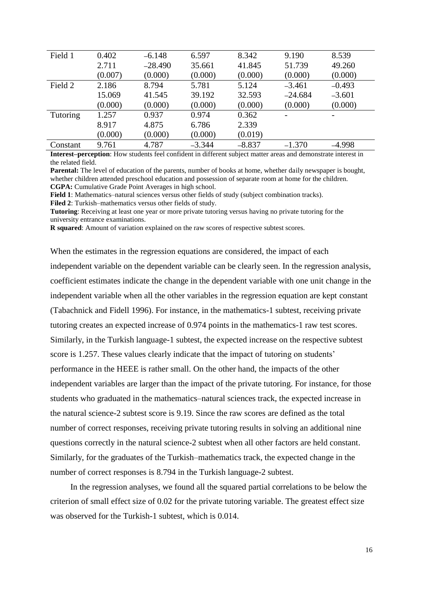| Field 1  | 0.402   | $-6.148$  | 6.597    | 8.342    | 9.190     | 8.539    |
|----------|---------|-----------|----------|----------|-----------|----------|
|          | 2.711   | $-28.490$ | 35.661   | 41.845   | 51.739    | 49.260   |
|          | (0.007) | (0.000)   | (0.000)  | (0.000)  | (0.000)   | (0.000)  |
| Field 2  | 2.186   | 8.794     | 5.781    | 5.124    | $-3.461$  | $-0.493$ |
|          | 15.069  | 41.545    | 39.192   | 32.593   | $-24.684$ | $-3.601$ |
|          | (0.000) | (0.000)   | (0.000)  | (0.000)  | (0.000)   | (0.000)  |
| Tutoring | 1.257   | 0.937     | 0.974    | 0.362    | -         |          |
|          | 8.917   | 4.875     | 6.786    | 2.339    |           |          |
|          | (0.000) | (0.000)   | (0.000)  | (0.019)  |           |          |
| Constant | 9.761   | 4.787     | $-3.344$ | $-8.837$ | $-1.370$  | -4.998   |

**Interest–perception**: How students feel confident in different subject matter areas and demonstrate interest in the related field.

**Parental:** The level of education of the parents, number of books at home, whether daily newspaper is bought, whether children attended preschool education and possession of separate room at home for the children. **CGPA:** Cumulative Grade Point Averages in high school.

**Field 1**: Mathematics–natural sciences versus other fields of study (subject combination tracks).

**Filed 2**: Turkish–mathematics versus other fields of study.

**Tutoring**: Receiving at least one year or more private tutoring versus having no private tutoring for the university entrance examinations.

**R squared**: Amount of variation explained on the raw scores of respective subtest scores.

When the estimates in the regression equations are considered, the impact of each independent variable on the dependent variable can be clearly seen. In the regression analysis, coefficient estimates indicate the change in the dependent variable with one unit change in the independent variable when all the other variables in the regression equation are kept constant (Tabachnick and Fidell 1996). For instance, in the mathematics-1 subtest, receiving private tutoring creates an expected increase of 0.974 points in the mathematics-1 raw test scores. Similarly, in the Turkish language-1 subtest, the expected increase on the respective subtest score is 1.257. These values clearly indicate that the impact of tutoring on students' performance in the HEEE is rather small. On the other hand, the impacts of the other independent variables are larger than the impact of the private tutoring. For instance, for those students who graduated in the mathematics–natural sciences track, the expected increase in the natural science-2 subtest score is 9.19. Since the raw scores are defined as the total number of correct responses, receiving private tutoring results in solving an additional nine questions correctly in the natural science-2 subtest when all other factors are held constant. Similarly, for the graduates of the Turkish–mathematics track, the expected change in the number of correct responses is 8.794 in the Turkish language-2 subtest.

In the regression analyses, we found all the squared partial correlations to be below the criterion of small effect size of 0.02 for the private tutoring variable. The greatest effect size was observed for the Turkish-1 subtest, which is 0.014.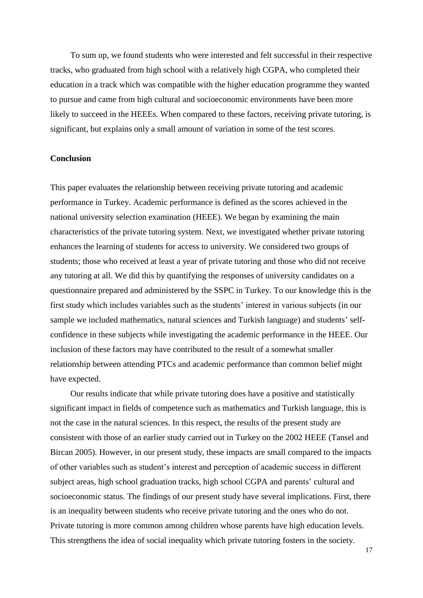To sum up, we found students who were interested and felt successful in their respective tracks, who graduated from high school with a relatively high CGPA, who completed their education in a track which was compatible with the higher education programme they wanted to pursue and came from high cultural and socioeconomic environments have been more likely to succeed in the HEEEs. When compared to these factors, receiving private tutoring, is significant, but explains only a small amount of variation in some of the test scores.

#### **Conclusion**

This paper evaluates the relationship between receiving private tutoring and academic performance in Turkey. Academic performance is defined as the scores achieved in the national university selection examination (HEEE). We began by examining the main characteristics of the private tutoring system. Next, we investigated whether private tutoring enhances the learning of students for access to university. We considered two groups of students; those who received at least a year of private tutoring and those who did not receive any tutoring at all. We did this by quantifying the responses of university candidates on a questionnaire prepared and administered by the SSPC in Turkey. To our knowledge this is the first study which includes variables such as the students' interest in various subjects (in our sample we included mathematics, natural sciences and Turkish language) and students' selfconfidence in these subjects while investigating the academic performance in the HEEE. Our inclusion of these factors may have contributed to the result of a somewhat smaller relationship between attending PTCs and academic performance than common belief might have expected.

Our results indicate that while private tutoring does have a positive and statistically significant impact in fields of competence such as mathematics and Turkish language, this is not the case in the natural sciences. In this respect, the results of the present study are consistent with those of an earlier study carried out in Turkey on the 2002 HEEE (Tansel and Bircan 2005). However, in our present study, these impacts are small compared to the impacts of other variables such as student's interest and perception of academic success in different subject areas, high school graduation tracks, high school CGPA and parents' cultural and socioeconomic status. The findings of our present study have several implications. First, there is an inequality between students who receive private tutoring and the ones who do not. Private tutoring is more common among children whose parents have high education levels. This strengthens the idea of social inequality which private tutoring fosters in the society.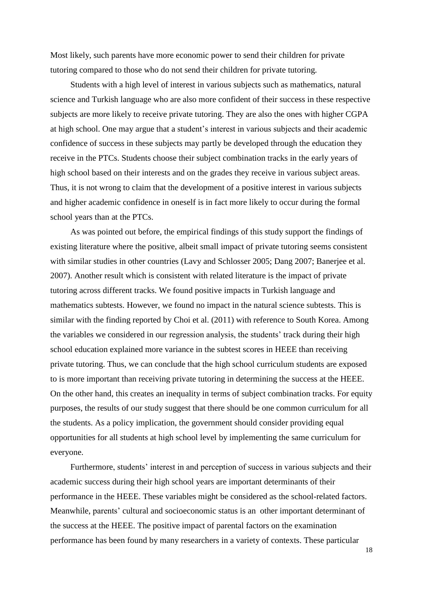Most likely, such parents have more economic power to send their children for private tutoring compared to those who do not send their children for private tutoring.

Students with a high level of interest in various subjects such as mathematics, natural science and Turkish language who are also more confident of their success in these respective subjects are more likely to receive private tutoring. They are also the ones with higher CGPA at high school. One may argue that a student's interest in various subjects and their academic confidence of success in these subjects may partly be developed through the education they receive in the PTCs. Students choose their subject combination tracks in the early years of high school based on their interests and on the grades they receive in various subject areas. Thus, it is not wrong to claim that the development of a positive interest in various subjects and higher academic confidence in oneself is in fact more likely to occur during the formal school years than at the PTCs.

As was pointed out before, the empirical findings of this study support the findings of existing literature where the positive, albeit small impact of private tutoring seems consistent with similar studies in other countries (Lavy and Schlosser 2005; Dang 2007; Banerjee et al. 2007). Another result which is consistent with related literature is the impact of private tutoring across different tracks. We found positive impacts in Turkish language and mathematics subtests. However, we found no impact in the natural science subtests. This is similar with the finding reported by Choi et al. (2011) with reference to South Korea. Among the variables we considered in our regression analysis, the students' track during their high school education explained more variance in the subtest scores in HEEE than receiving private tutoring. Thus, we can conclude that the high school curriculum students are exposed to is more important than receiving private tutoring in determining the success at the HEEE. On the other hand, this creates an inequality in terms of subject combination tracks. For equity purposes, the results of our study suggest that there should be one common curriculum for all the students. As a policy implication, the government should consider providing equal opportunities for all students at high school level by implementing the same curriculum for everyone.

Furthermore, students' interest in and perception of success in various subjects and their academic success during their high school years are important determinants of their performance in the HEEE. These variables might be considered as the school-related factors. Meanwhile, parents' cultural and socioeconomic status is an other important determinant of the success at the HEEE. The positive impact of parental factors on the examination performance has been found by many researchers in a variety of contexts. These particular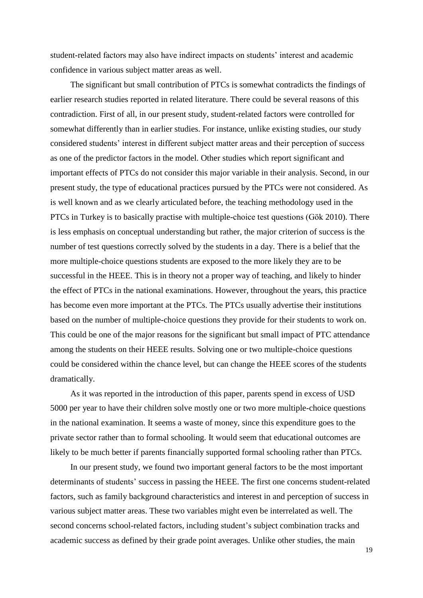student-related factors may also have indirect impacts on students' interest and academic confidence in various subject matter areas as well.

The significant but small contribution of PTCs is somewhat contradicts the findings of earlier research studies reported in related literature. There could be several reasons of this contradiction. First of all, in our present study, student-related factors were controlled for somewhat differently than in earlier studies. For instance, unlike existing studies, our study considered students' interest in different subject matter areas and their perception of success as one of the predictor factors in the model. Other studies which report significant and important effects of PTCs do not consider this major variable in their analysis. Second, in our present study, the type of educational practices pursued by the PTCs were not considered. As is well known and as we clearly articulated before, the teaching methodology used in the PTCs in Turkey is to basically practise with multiple-choice test questions (Gök 2010). There is less emphasis on conceptual understanding but rather, the major criterion of success is the number of test questions correctly solved by the students in a day. There is a belief that the more multiple-choice questions students are exposed to the more likely they are to be successful in the HEEE. This is in theory not a proper way of teaching, and likely to hinder the effect of PTCs in the national examinations. However, throughout the years, this practice has become even more important at the PTCs. The PTCs usually advertise their institutions based on the number of multiple-choice questions they provide for their students to work on. This could be one of the major reasons for the significant but small impact of PTC attendance among the students on their HEEE results. Solving one or two multiple-choice questions could be considered within the chance level, but can change the HEEE scores of the students dramatically.

As it was reported in the introduction of this paper, parents spend in excess of USD 5000 per year to have their children solve mostly one or two more multiple-choice questions in the national examination. It seems a waste of money, since this expenditure goes to the private sector rather than to formal schooling. It would seem that educational outcomes are likely to be much better if parents financially supported formal schooling rather than PTCs.

In our present study, we found two important general factors to be the most important determinants of students' success in passing the HEEE. The first one concerns student-related factors, such as family background characteristics and interest in and perception of success in various subject matter areas. These two variables might even be interrelated as well. The second concerns school-related factors, including student's subject combination tracks and academic success as defined by their grade point averages. Unlike other studies, the main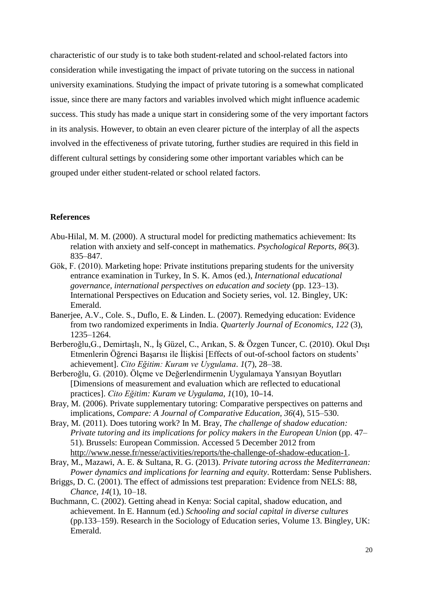characteristic of our study is to take both student-related and school-related factors into consideration while investigating the impact of private tutoring on the success in national university examinations. Studying the impact of private tutoring is a somewhat complicated issue, since there are many factors and variables involved which might influence academic success. This study has made a unique start in considering some of the very important factors in its analysis. However, to obtain an even clearer picture of the interplay of all the aspects involved in the effectiveness of private tutoring, further studies are required in this field in different cultural settings by considering some other important variables which can be grouped under either student-related or school related factors.

#### **References**

- Abu-Hilal, M. M. (2000). A structural model for predicting mathematics achievement: Its relation with anxiety and self-concept in mathematics. *Psychological Reports, 86*(3). 835–847.
- Gök, F. (2010). Marketing hope: Private institutions preparing students for the university entrance examination in Turkey, In S. K. Amos (ed.), *International educational governance, international perspectives on education and society* (pp. 123–13). International Perspectives on Education and Society series, vol. 12. Bingley, UK: Emerald.
- Banerjee, A.V., Cole. S., Duflo, E. & Linden. L. (2007). Remedying education: Evidence from two randomized experiments in India. *Quarterly Journal of Economics, 122* (3), 1235–1264.
- Berberoğlu,G., Demirtaşlı, N., İş Güzel, C., Arıkan, S. & Özgen Tuncer, C. (2010). Okul Dışı Etmenlerin Öğrenci Başarısı ile İlişkisi [Effects of out-of-school factors on students' achievement]. *Cito Eğitim: Kuram ve Uygulama*. *1*(7), 28–38.
- Berberoğlu, G. (2010). Ölçme ve Değerlendirmenin Uygulamaya Yansıyan Boyutları [Dimensions of measurement and evaluation which are reflected to educational practices]. *Cito Eğitim: Kuram ve Uygulama*, *1*(10), 10–14.
- Bray, M. (2006). Private supplementary tutoring: Comparative perspectives on patterns and implications, *Compare: A Journal of Comparative Education, 36*(4), 515–530.
- Bray, M. (2011). Does tutoring work? In M. Bray, *The challenge of shadow education: Private tutoring and its implications for policy makers in the European Union* (pp. 47– 51). Brussels: European Commission. Accessed 5 December 2012 from [http://www.nesse.fr/nesse/activities/reports/the-challenge-of-shadow-education-1.](http://www.nesse.fr/nesse/activities/reports/the-challenge-of-shadow-education-1)
- Bray, M., Mazawi, A. E. & Sultana, R. G. (2013). *Private tutoring across the Mediterranean: Power dynamics and implications for learning and equity*. Rotterdam: Sense Publishers.
- Briggs, D. C. (2001). The effect of admissions test preparation: Evidence from NELS: 88, *Chance, 14*(1), 10–18.
- Buchmann, C. (2002). Getting ahead in Kenya: Social capital, shadow education, and achievement. In E. Hannum (ed.) *Schooling and social capital in diverse cultures* (pp.133–159). Research in the Sociology of Education series, Volume 13. Bingley, UK: Emerald.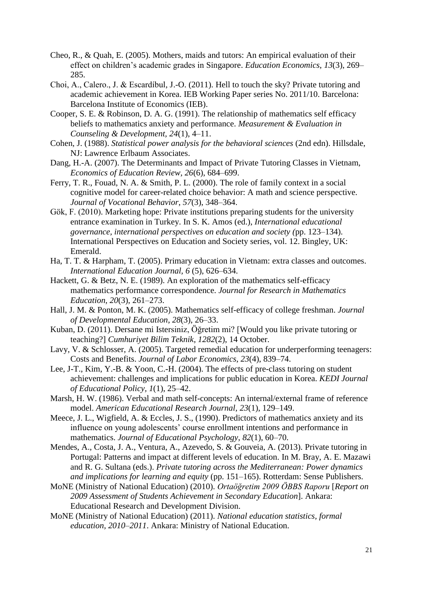- Cheo, R., & Quah, E. (2005). Mothers, maids and tutors: An empirical evaluation of their effect on children's academic grades in Singapore. *Education Economics*, *13*(3), 269– 285.
- Choi, A., Calero., J. & Escardíbul, J.-O. (2011). Hell to touch the sky? Private tutoring and academic achievement in Korea. IEB Working Paper series No. 2011/10. Barcelona: Barcelona Institute of Economics (IEB).
- Cooper, S. E. & Robinson, D. A. G. (1991). The relationship of mathematics self efficacy beliefs to mathematics anxiety and performance. *Measurement & Evaluation in Counseling & Development, 24*(1), 4–11.
- Cohen, J. (1988). *Statistical power analysis for the behavioral sciences* (2nd edn). Hillsdale, NJ: Lawrence Erlbaum Associates.
- Dang, H.-A. (2007). The Determinants and Impact of Private Tutoring Classes in Vietnam, *Economics of Education Review, 26*(6), 684–699.
- Ferry, T. R., Fouad, N. A. & Smith, P. L. (2000). The role of family context in a social cognitive model for career-related choice behavior: A math and science perspective. *Journal of Vocational Behavior*, *57*(3), 348–364.
- Gök, F. (2010). Marketing hope: Private institutions preparing students for the university entrance examination in Turkey. In S. K. Amos (ed.), *International educational governance, international perspectives on education and society (*pp. 123–134). International Perspectives on Education and Society series, vol. 12. Bingley, UK: Emerald.
- Ha, T. T. & Harpham, T. (2005). Primary education in Vietnam: extra classes and outcomes. *International Education Journal, 6* (5), 626–634.
- Hackett, G. & Betz, N. E. (1989). An exploration of the mathematics self-efficacy mathematics performance correspondence. *Journal for Research in Mathematics Education, 20*(3), 261–273.
- Hall, J. M. & Ponton, M. K. (2005). Mathematics self-efficacy of college freshman. *Journal of Developmental Education*, *28*(3), 26–33.
- Kuban, D. (2011). Dersane mi Istersiniz, Öğretim mi? [Would you like private tutoring or teaching?] *Cumhuriyet Bilim Teknik*, *1282*(2), 14 October.
- Lavy, V. & Schlosser, A. (2005). Targeted remedial education for underperforming teenagers: Costs and Benefits. *Journal of Labor Economics*, *23*(4), 839–74.
- Lee, J-T., Kim, Y.-B. & Yoon, C.-H. (2004). The effects of pre-class tutoring on student achievement: challenges and implications for public education in Korea. *KEDI Journal of Educational Policy, 1*(1), 25–42.
- Marsh, H. W. (1986). Verbal and math self-concepts: An internal/external frame of reference model. *American Educational Research Journal, 23*(1), 129–149.
- Meece, J. L., Wigfield, A. & Eccles, J. S., (1990). Predictors of mathematics anxiety and its influence on young adolescents' course enrollment intentions and performance in mathematics. *Journal of Educational Psychology*, *82*(1), 60–70.
- Mendes, A., Costa, J. A., Ventura, A., Azevedo, S. & Gouveia, A. (2013). Private tutoring in Portugal: Patterns and impact at different levels of education. In M. Bray, A. E. Mazawi and R. G. Sultana (eds.). *Private tutoring across the Mediterranean: Power dynamics and implications for learning and equity* (pp. 151–165). Rotterdam: Sense Publishers.
- MoNE (Ministry of National Education) (2010). *Ortaöğretim 2009 ÖBBS Raporu* [*Report on 2009 Assessment of Students Achievement in Secondary Education*]. Ankara: Educational Research and Development Division.
- MoNE (Ministry of National Education) (2011). *National education statistics, formal education, 2010–2011*. Ankara: Ministry of National Education.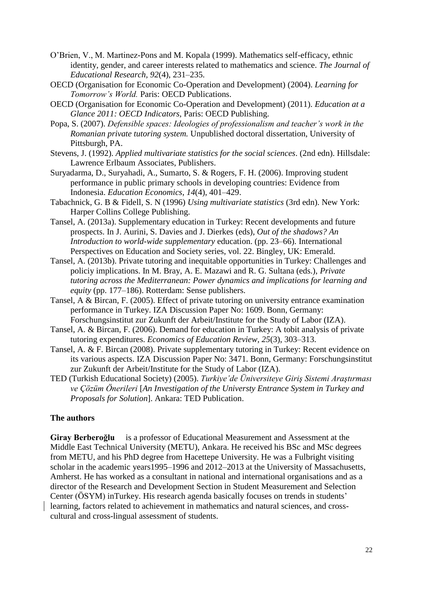- O'Brien, V., M. Martinez-Pons and M. Kopala (1999). Mathematics self-efficacy, ethnic identity, gender, and career interests related to mathematics and science. *The Journal of Educational Research, 92*(4), 231–235.
- OECD (Organisation for Economic Co-Operation and Development) (2004). *Learning for Tomorrow's World.* Paris: OECD Publications.
- OECD (Organisation for Economic Co-Operation and Development) (2011). *Education at a Glance 2011: OECD Indicators,* Paris: OECD Publishing.
- Popa, S. (2007). *Defensible spaces: Ideologies of professionalism and teacher's work in the Romanian private tutoring system.* Unpublished doctoral dissertation, University of Pittsburgh, PA.
- Stevens, J. (1992). *Applied multivariate statistics for the social sciences*. (2nd edn). Hillsdale: Lawrence Erlbaum Associates, Publishers.
- Suryadarma, D., Suryahadi, A., Sumarto, S. & Rogers, F. H. (2006). Improving student performance in public primary schools in developing countries: Evidence from Indonesia. *Education Economics*, *14*(4), 401–429.
- Tabachnick, G. B & Fidell, S. N (1996) *Using multivariate statistics* (3rd edn). New York: Harper Collins College Publishing.
- Tansel, A. (2013a). Supplementary education in Turkey: Recent developments and future prospects. In J. Aurini, S. Davies and J. Dierkes (eds), *Out of the shadows? An Introduction to world-wide supplementary* education. (pp. 23–66). International Perspectives on Education and Society series, vol. 22. Bingley, UK: Emerald.
- Tansel, A. (2013b). Private tutoring and inequitable opportunities in Turkey: Challenges and policiy implications. In M. Bray, A. E. Mazawi and R. G. Sultana (eds.), *Private tutoring across the Mediterranean: Power dynamics and implications for learning and equity* (pp. 177–186). Rotterdam: Sense publishers.
- Tansel, A & Bircan, F. (2005). Effect of private tutoring on university entrance examination performance in Turkey. IZA Discussion Paper No: 1609. Bonn, Germany: Forschungsinstitut zur Zukunft der Arbeit/Institute for the Study of Labor (IZA).
- Tansel, A. & Bircan, F. (2006). Demand for education in Turkey: A tobit analysis of private tutoring expenditures. *Economics of Education Review, 25*(3), 303–313.
- Tansel, A. & F. Bircan (2008). Private supplementary tutoring in Turkey: Recent evidence on its various aspects. IZA Discussion Paper No: 3471. Bonn, Germany: Forschungsinstitut zur Zukunft der Arbeit/Institute for the Study of Labor (IZA).
- TED (Turkish Educational Society) (2005). *Turkiye'de Üniversiteye Giriş Sistemi Araştırması ve Çözüm Önerileri* [*An Investigation of the Universty Entrance System in Turkey and Proposals for Solution*]. Ankara: TED Publication.

### **The authors**

**Giray Berberoğlu** is a professor of Educational Measurement and Assessment at the Middle East Technical University (METU), Ankara. He received his BSc and MSc degrees from METU, and his PhD degree from Hacettepe University. He was a Fulbright visiting scholar in the academic years1995–1996 and 2012–2013 at the University of Massachusetts, Amherst. He has worked as a consultant in national and international organisations and as a director of the Research and Development Section in Student Measurement and Selection Center (ÖSYM) inTurkey. His research agenda basically focuses on trends in students' learning, factors related to achievement in mathematics and natural sciences, and crosscultural and cross-lingual assessment of students.